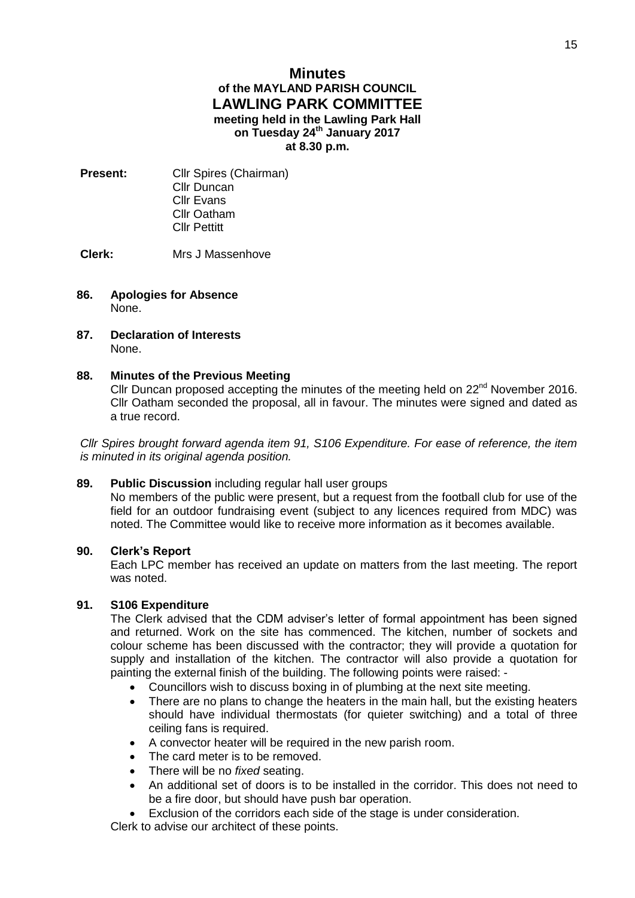# **Minutes of the MAYLAND PARISH COUNCIL LAWLING PARK COMMITTEE meeting held in the Lawling Park Hall on Tuesday 24th January 2017 at 8.30 p.m.**

**Present:** Cllr Spires (Chairman) Cllr Duncan Cllr Evans Cllr Oatham Cllr Pettitt

**Clerk:** Mrs J Massenhove

### **86. Apologies for Absence** None.

**87. Declaration of Interests** None.

# **88. Minutes of the Previous Meeting**

Cllr Duncan proposed accepting the minutes of the meeting held on  $22^{nd}$  November 2016. Cllr Oatham seconded the proposal, all in favour. The minutes were signed and dated as a true record.

*Cllr Spires brought forward agenda item 91, S106 Expenditure. For ease of reference, the item is minuted in its original agenda position.*

# **89. Public Discussion** including regular hall user groups

No members of the public were present, but a request from the football club for use of the field for an outdoor fundraising event (subject to any licences required from MDC) was noted. The Committee would like to receive more information as it becomes available.

## **90. Clerk's Report**

Each LPC member has received an update on matters from the last meeting. The report was noted.

## **91. S106 Expenditure**

The Clerk advised that the CDM adviser's letter of formal appointment has been signed and returned. Work on the site has commenced. The kitchen, number of sockets and colour scheme has been discussed with the contractor; they will provide a quotation for supply and installation of the kitchen. The contractor will also provide a quotation for painting the external finish of the building. The following points were raised: -

- Councillors wish to discuss boxing in of plumbing at the next site meeting.
- There are no plans to change the heaters in the main hall, but the existing heaters should have individual thermostats (for quieter switching) and a total of three ceiling fans is required.
- A convector heater will be required in the new parish room.
- The card meter is to be removed.
- There will be no *fixed* seating.
- An additional set of doors is to be installed in the corridor. This does not need to be a fire door, but should have push bar operation.
- Exclusion of the corridors each side of the stage is under consideration.

Clerk to advise our architect of these points.